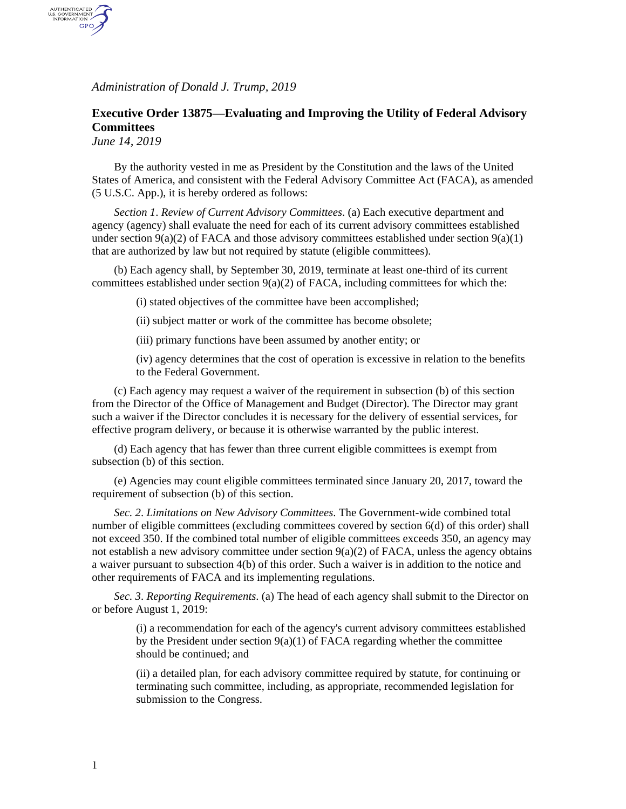*Administration of Donald J. Trump, 2019*

## **Executive Order 13875—Evaluating and Improving the Utility of Federal Advisory Committees**

*June 14, 2019*

AUTHENTICATED<br>U.S. GOVERNMENT<br>INFORMATION GPO

> By the authority vested in me as President by the Constitution and the laws of the United States of America, and consistent with the Federal Advisory Committee Act (FACA), as amended (5 U.S.C. App.), it is hereby ordered as follows:

*Section 1*. *Review of Current Advisory Committees*. (a) Each executive department and agency (agency) shall evaluate the need for each of its current advisory committees established under section  $9(a)(2)$  of FACA and those advisory committees established under section  $9(a)(1)$ that are authorized by law but not required by statute (eligible committees).

(b) Each agency shall, by September 30, 2019, terminate at least one-third of its current committees established under section  $9(a)(2)$  of FACA, including committees for which the:

(i) stated objectives of the committee have been accomplished;

- (ii) subject matter or work of the committee has become obsolete;
- (iii) primary functions have been assumed by another entity; or

(iv) agency determines that the cost of operation is excessive in relation to the benefits to the Federal Government.

(c) Each agency may request a waiver of the requirement in subsection (b) of this section from the Director of the Office of Management and Budget (Director). The Director may grant such a waiver if the Director concludes it is necessary for the delivery of essential services, for effective program delivery, or because it is otherwise warranted by the public interest.

(d) Each agency that has fewer than three current eligible committees is exempt from subsection (b) of this section.

(e) Agencies may count eligible committees terminated since January 20, 2017, toward the requirement of subsection (b) of this section.

*Sec. 2*. *Limitations on New Advisory Committees*. The Government-wide combined total number of eligible committees (excluding committees covered by section 6(d) of this order) shall not exceed 350. If the combined total number of eligible committees exceeds 350, an agency may not establish a new advisory committee under section  $9(a)(2)$  of FACA, unless the agency obtains a waiver pursuant to subsection 4(b) of this order. Such a waiver is in addition to the notice and other requirements of FACA and its implementing regulations.

*Sec. 3*. *Reporting Requirements*. (a) The head of each agency shall submit to the Director on or before August 1, 2019:

> (i) a recommendation for each of the agency's current advisory committees established by the President under section  $9(a)(1)$  of FACA regarding whether the committee should be continued; and

(ii) a detailed plan, for each advisory committee required by statute, for continuing or terminating such committee, including, as appropriate, recommended legislation for submission to the Congress.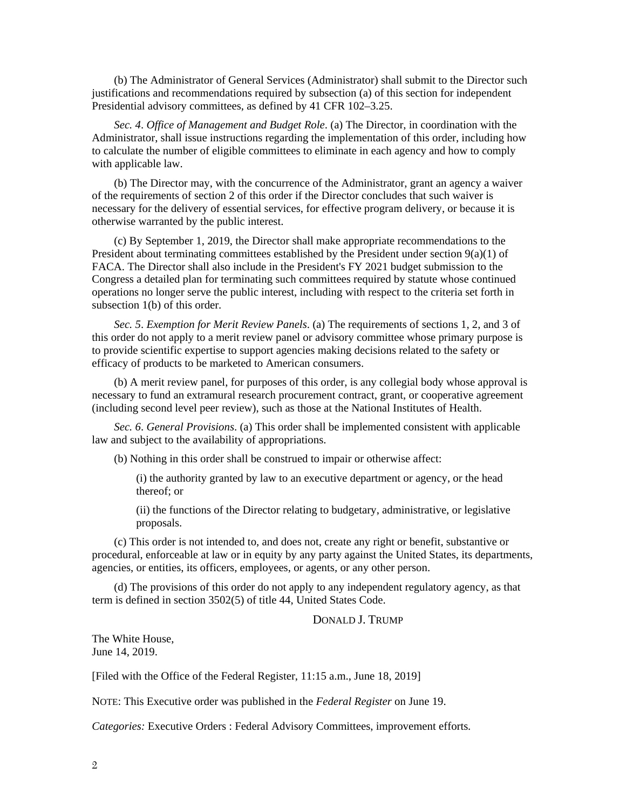(b) The Administrator of General Services (Administrator) shall submit to the Director such justifications and recommendations required by subsection (a) of this section for independent Presidential advisory committees, as defined by 41 CFR 102–3.25.

*Sec. 4*. *Office of Management and Budget Role*. (a) The Director, in coordination with the Administrator, shall issue instructions regarding the implementation of this order, including how to calculate the number of eligible committees to eliminate in each agency and how to comply with applicable law.

(b) The Director may, with the concurrence of the Administrator, grant an agency a waiver of the requirements of section 2 of this order if the Director concludes that such waiver is necessary for the delivery of essential services, for effective program delivery, or because it is otherwise warranted by the public interest.

(c) By September 1, 2019, the Director shall make appropriate recommendations to the President about terminating committees established by the President under section  $9(a)(1)$  of FACA. The Director shall also include in the President's FY 2021 budget submission to the Congress a detailed plan for terminating such committees required by statute whose continued operations no longer serve the public interest, including with respect to the criteria set forth in subsection 1(b) of this order.

*Sec. 5*. *Exemption for Merit Review Panels*. (a) The requirements of sections 1, 2, and 3 of this order do not apply to a merit review panel or advisory committee whose primary purpose is to provide scientific expertise to support agencies making decisions related to the safety or efficacy of products to be marketed to American consumers.

(b) A merit review panel, for purposes of this order, is any collegial body whose approval is necessary to fund an extramural research procurement contract, grant, or cooperative agreement (including second level peer review), such as those at the National Institutes of Health.

*Sec. 6*. *General Provisions*. (a) This order shall be implemented consistent with applicable law and subject to the availability of appropriations.

(b) Nothing in this order shall be construed to impair or otherwise affect:

(i) the authority granted by law to an executive department or agency, or the head thereof; or

(ii) the functions of the Director relating to budgetary, administrative, or legislative proposals.

(c) This order is not intended to, and does not, create any right or benefit, substantive or procedural, enforceable at law or in equity by any party against the United States, its departments, agencies, or entities, its officers, employees, or agents, or any other person.

(d) The provisions of this order do not apply to any independent regulatory agency, as that term is defined in section 3502(5) of title 44, United States Code.

## DONALD J. TRUMP

The White House, June 14, 2019.

[Filed with the Office of the Federal Register, 11:15 a.m., June 18, 2019]

NOTE: This Executive order was published in the *Federal Register* on June 19.

*Categories:* Executive Orders : Federal Advisory Committees, improvement efforts*.*